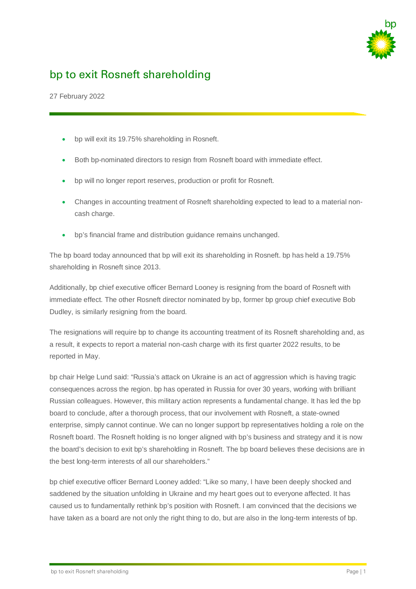

# bp to exit Rosneft shareholding

27 February 2022

- bp will exit its 19.75% shareholding in Rosneft.
- Both bp-nominated directors to resign from Rosneft board with immediate effect.
- bp will no longer report reserves, production or profit for Rosneft.
- Changes in accounting treatment of Rosneft shareholding expected to lead to a material noncash charge.
- bp's financial frame and distribution guidance remains unchanged.

The bp board today announced that bp will exit its shareholding in Rosneft. bp has held a 19.75% shareholding in Rosneft since 2013.

Additionally, bp chief executive officer Bernard Looney is resigning from the board of Rosneft with immediate effect. The other Rosneft director nominated by bp, former bp group chief executive Bob Dudley, is similarly resigning from the board.

The resignations will require bp to change its accounting treatment of its Rosneft shareholding and, as a result, it expects to report a material non-cash charge with its first quarter 2022 results, to be reported in May.

bp chair Helge Lund said: "Russia's attack on Ukraine is an act of aggression which is having tragic consequences across the region. bp has operated in Russia for over 30 years, working with brilliant Russian colleagues. However, this military action represents a fundamental change. It has led the bp board to conclude, after a thorough process, that our involvement with Rosneft, a state-owned enterprise, simply cannot continue. We can no longer support bp representatives holding a role on the Rosneft board. The Rosneft holding is no longer aligned with bp's business and strategy and it is now the board's decision to exit bp's shareholding in Rosneft. The bp board believes these decisions are in the best long-term interests of all our shareholders."

bp chief executive officer Bernard Looney added: "Like so many, I have been deeply shocked and saddened by the situation unfolding in Ukraine and my heart goes out to everyone affected. It has caused us to fundamentally rethink bp's position with Rosneft. I am convinced that the decisions we have taken as a board are not only the right thing to do, but are also in the long-term interests of bp.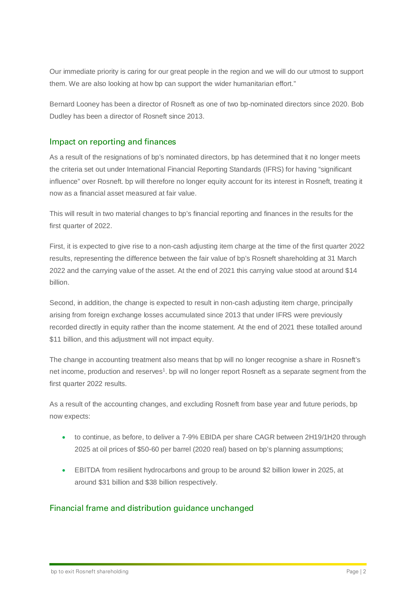Our immediate priority is caring for our great people in the region and we will do our utmost to support them. We are also looking at how bp can support the wider humanitarian effort."

Bernard Looney has been a director of Rosneft as one of two bp-nominated directors since 2020. Bob Dudley has been a director of Rosneft since 2013.

#### Impact on reporting and finances

As a result of the resignations of bp's nominated directors, bp has determined that it no longer meets the criteria set out under International Financial Reporting Standards (IFRS) for having "significant influence" over Rosneft. bp will therefore no longer equity account for its interest in Rosneft, treating it now as a financial asset measured at fair value.

This will result in two material changes to bp's financial reporting and finances in the results for the first quarter of 2022.

First, it is expected to give rise to a non-cash adjusting item charge at the time of the first quarter 2022 results, representing the difference between the fair value of bp's Rosneft shareholding at 31 March 2022 and the carrying value of the asset. At the end of 2021 this carrying value stood at around \$14 billion.

Second, in addition, the change is expected to result in non-cash adjusting item charge, principally arising from foreign exchange losses accumulated since 2013 that under IFRS were previously recorded directly in equity rather than the income statement. At the end of 2021 these totalled around \$11 billion, and this adjustment will not impact equity.

The change in accounting treatment also means that bp will no longer recognise a share in Rosneft's net income, production and reserves<sup>1</sup>. bp will no longer report Rosneft as a separate segment from the first quarter 2022 results.

As a result of the accounting changes, and excluding Rosneft from base year and future periods, bp now expects:

- to continue, as before, to deliver a 7-9% EBIDA per share CAGR between 2H19/1H20 through 2025 at oil prices of \$50-60 per barrel (2020 real) based on bp's planning assumptions;
- EBITDA from resilient hydrocarbons and group to be around \$2 billion lower in 2025, at around \$31 billion and \$38 billion respectively.

## Financial frame and distribution guidance unchanged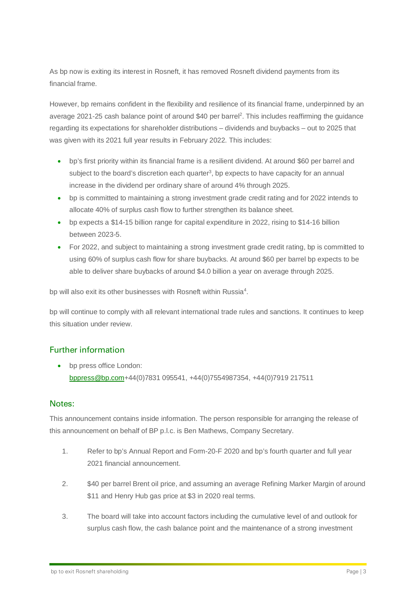As bp now is exiting its interest in Rosneft, it has removed Rosneft dividend payments from its financial frame.

However, bp remains confident in the flexibility and resilience of its financial frame, underpinned by an average 2021-25 cash balance point of around \$40 per barrel2. This includes reaffirming the guidance regarding its expectations for shareholder distributions – dividends and buybacks – out to 2025 that was given with its 2021 full year results in February 2022. This includes:

- bp's first priority within its financial frame is a resilient dividend. At around \$60 per barrel and subject to the board's discretion each quarter<sup>3</sup>, bp expects to have capacity for an annual increase in the dividend per ordinary share of around 4% through 2025.
- bp is committed to maintaining a strong investment grade credit rating and for 2022 intends to allocate 40% of surplus cash flow to further strengthen its balance sheet.
- bp expects a \$14-15 billion range for capital expenditure in 2022, rising to \$14-16 billion between 2023-5.
- For 2022, and subject to maintaining a strong investment grade credit rating, bp is committed to using 60% of surplus cash flow for share buybacks. At around \$60 per barrel bp expects to be able to deliver share buybacks of around \$4.0 billion a year on average through 2025.

bp will also exit its other businesses with Rosneft within Russia<sup>4</sup>.

bp will continue to comply with all relevant international trade rules and sanctions. It continues to keep this situation under review.

# Further information

• bp press office London: [bppress@bp.com+](mailto:bppress@bp.com?subject=Enquiry%20about%20a%20recent%20press%20release)44(0)7831 095541, +44(0)7554987354, +44(0)7919 217511

#### Notes:

This announcement contains inside information. The person responsible for arranging the release of this announcement on behalf of BP p.l.c. is Ben Mathews, Company Secretary.

- 1. Refer to bp's Annual Report and Form-20-F 2020 and bp's fourth quarter and full year 2021 financial announcement.
- 2. \$40 per barrel Brent oil price, and assuming an average Refining Marker Margin of around \$11 and Henry Hub gas price at \$3 in 2020 real terms.
- 3. The board will take into account factors including the cumulative level of and outlook for surplus cash flow, the cash balance point and the maintenance of a strong investment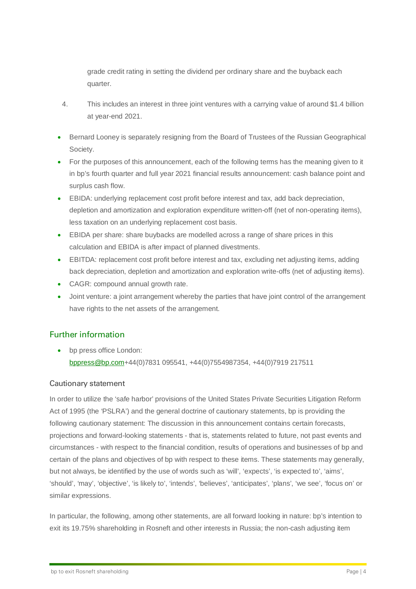grade credit rating in setting the dividend per ordinary share and the buyback each quarter.

- 4. This includes an interest in three joint ventures with a carrying value of around \$1.4 billion at year-end 2021.
- Bernard Looney is separately resigning from the Board of Trustees of the Russian Geographical Society.
- For the purposes of this announcement, each of the following terms has the meaning given to it in bp's fourth quarter and full year 2021 financial results announcement: cash balance point and surplus cash flow.
- EBIDA: underlying replacement cost profit before interest and tax, add back depreciation, depletion and amortization and exploration expenditure written-off (net of non-operating items), less taxation on an underlying replacement cost basis.
- EBIDA per share: share buybacks are modelled across a range of share prices in this calculation and EBIDA is after impact of planned divestments.
- EBITDA: replacement cost profit before interest and tax, excluding net adjusting items, adding back depreciation, depletion and amortization and exploration write-offs (net of adjusting items).
- CAGR: compound annual growth rate.
- Joint venture: a joint arrangement whereby the parties that have joint control of the arrangement have rights to the net assets of the arrangement.

# Further information

• bp press office London: [bppress@bp.com+](mailto:bppress@bp.com?subject=Enquiry%20about%20a%20recent%20press%20release)44(0)7831 095541, +44(0)7554987354, +44(0)7919 217511

## Cautionary statement

In order to utilize the 'safe harbor' provisions of the United States Private Securities Litigation Reform Act of 1995 (the 'PSLRA') and the general doctrine of cautionary statements, bp is providing the following cautionary statement: The discussion in this announcement contains certain forecasts, projections and forward-looking statements - that is, statements related to future, not past events and circumstances - with respect to the financial condition, results of operations and businesses of bp and certain of the plans and objectives of bp with respect to these items. These statements may generally, but not always, be identified by the use of words such as 'will', 'expects', 'is expected to', 'aims', 'should', 'may', 'objective', 'is likely to', 'intends', 'believes', 'anticipates', 'plans', 'we see', 'focus on' or similar expressions.

In particular, the following, among other statements, are all forward looking in nature: bp's intention to exit its 19.75% shareholding in Rosneft and other interests in Russia; the non-cash adjusting item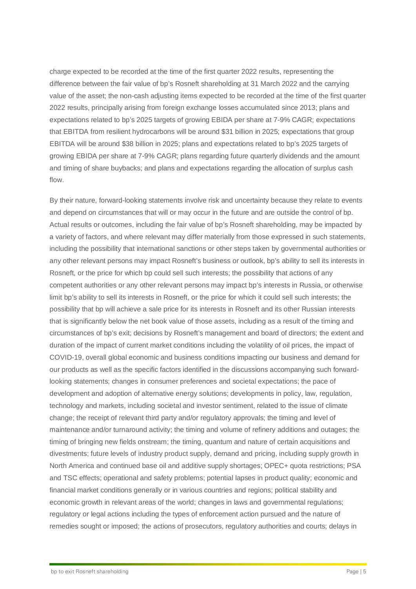charge expected to be recorded at the time of the first quarter 2022 results, representing the difference between the fair value of bp's Rosneft shareholding at 31 March 2022 and the carrying value of the asset; the non-cash adjusting items expected to be recorded at the time of the first quarter 2022 results, principally arising from foreign exchange losses accumulated since 2013; plans and expectations related to bp's 2025 targets of growing EBIDA per share at 7-9% CAGR; expectations that EBITDA from resilient hydrocarbons will be around \$31 billion in 2025; expectations that group EBITDA will be around \$38 billion in 2025; plans and expectations related to bp's 2025 targets of growing EBIDA per share at 7-9% CAGR; plans regarding future quarterly dividends and the amount and timing of share buybacks; and plans and expectations regarding the allocation of surplus cash flow.

By their nature, forward-looking statements involve risk and uncertainty because they relate to events and depend on circumstances that will or may occur in the future and are outside the control of bp. Actual results or outcomes, including the fair value of bp's Rosneft shareholding, may be impacted by a variety of factors, and where relevant may differ materially from those expressed in such statements, including the possibility that international sanctions or other steps taken by governmental authorities or any other relevant persons may impact Rosneft's business or outlook, bp's ability to sell its interests in Rosneft, or the price for which bp could sell such interests; the possibility that actions of any competent authorities or any other relevant persons may impact bp's interests in Russia, or otherwise limit bp's ability to sell its interests in Rosneft, or the price for which it could sell such interests; the possibility that bp will achieve a sale price for its interests in Rosneft and its other Russian interests that is significantly below the net book value of those assets, including as a result of the timing and circumstances of bp's exit; decisions by Rosneft's management and board of directors; the extent and duration of the impact of current market conditions including the volatility of oil prices, the impact of COVID-19, overall global economic and business conditions impacting our business and demand for our products as well as the specific factors identified in the discussions accompanying such forwardlooking statements; changes in consumer preferences and societal expectations; the pace of development and adoption of alternative energy solutions; developments in policy, law, regulation, technology and markets, including societal and investor sentiment, related to the issue of climate change; the receipt of relevant third party and/or regulatory approvals; the timing and level of maintenance and/or turnaround activity; the timing and volume of refinery additions and outages; the timing of bringing new fields onstream; the timing, quantum and nature of certain acquisitions and divestments; future levels of industry product supply, demand and pricing, including supply growth in North America and continued base oil and additive supply shortages; OPEC+ quota restrictions; PSA and TSC effects; operational and safety problems; potential lapses in product quality; economic and financial market conditions generally or in various countries and regions; political stability and economic growth in relevant areas of the world; changes in laws and governmental regulations; regulatory or legal actions including the types of enforcement action pursued and the nature of remedies sought or imposed; the actions of prosecutors, regulatory authorities and courts; delays in